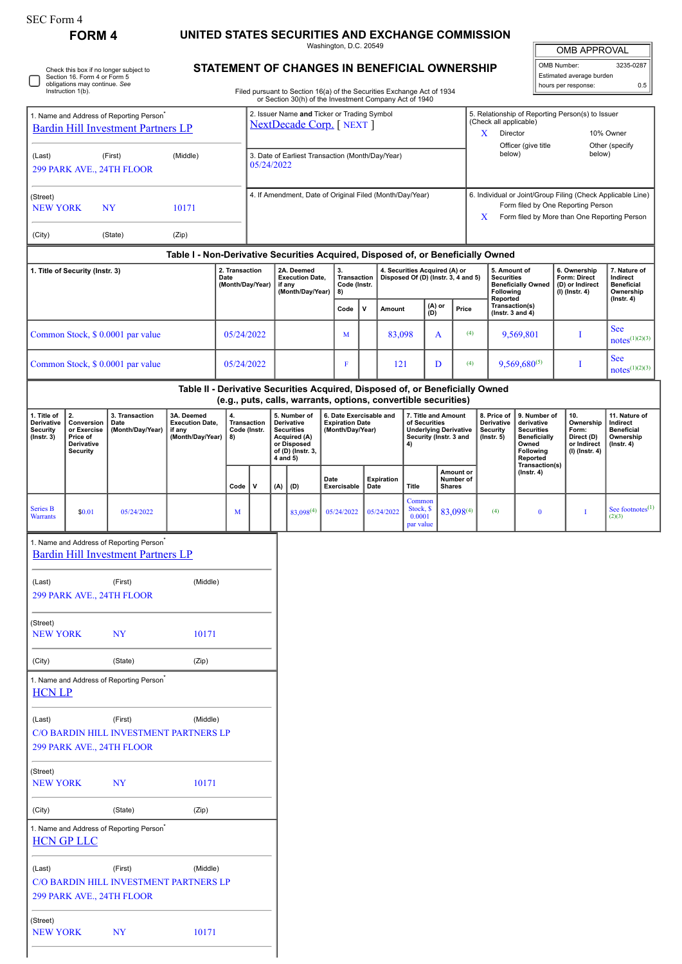# **FORM 4** UNITED STATES SECURITIES AND EXCHANGE COMMISSION<br>Washington, D.C. 20549

OMB APPROVAL

 $\parallel$ 

|                                                                                                   | Section 16. Form 4 or Form 5<br>obligations may continue. See<br>Instruction 1(b). | Check this box if no longer subject to                                                            |                                                                                  |                          |                                    |                                                          |                                                                                                     | STATEMENT OF CHANGES IN BENEFICIAL OWNERSHIP<br>Filed pursuant to Section 16(a) of the Securities Exchange Act of 1934<br>or Section 30(h) of the Investment Company Act of 1940 |                                                                                                          |            |                                                                                                      |                                         |       |                                                                  |                                                                                                                                                   | OMB Number: | Estimated average burden<br>hours per response:                            | 3235-0287<br>0.5                                                                |
|---------------------------------------------------------------------------------------------------|------------------------------------------------------------------------------------|---------------------------------------------------------------------------------------------------|----------------------------------------------------------------------------------|--------------------------|------------------------------------|----------------------------------------------------------|-----------------------------------------------------------------------------------------------------|----------------------------------------------------------------------------------------------------------------------------------------------------------------------------------|----------------------------------------------------------------------------------------------------------|------------|------------------------------------------------------------------------------------------------------|-----------------------------------------|-------|------------------------------------------------------------------|---------------------------------------------------------------------------------------------------------------------------------------------------|-------------|----------------------------------------------------------------------------|---------------------------------------------------------------------------------|
| 1. Name and Address of Reporting Person <sup>®</sup><br><b>Bardin Hill Investment Partners LP</b> |                                                                                    |                                                                                                   | 2. Issuer Name and Ticker or Trading Symbol<br><b>NextDecade Corp.</b> [NEXT ]   |                          |                                    |                                                          |                                                                                                     |                                                                                                                                                                                  | 5. Relationship of Reporting Person(s) to Issuer<br>(Check all applicable)<br>X<br>Director<br>10% Owner |            |                                                                                                      |                                         |       |                                                                  |                                                                                                                                                   |             |                                                                            |                                                                                 |
| (Last)                                                                                            |                                                                                    | (First)<br>299 PARK AVE., 24TH FLOOR                                                              | (Middle)                                                                         |                          | 05/24/2022                         |                                                          |                                                                                                     | 3. Date of Earliest Transaction (Month/Day/Year)                                                                                                                                 |                                                                                                          |            |                                                                                                      |                                         |       | below)                                                           | Officer (give title                                                                                                                               |             | below)                                                                     | Other (specify                                                                  |
| (Street)<br><b>NEW YORK</b><br>NY<br>10171                                                        |                                                                                    |                                                                                                   |                                                                                  |                          |                                    | 4. If Amendment, Date of Original Filed (Month/Day/Year) |                                                                                                     |                                                                                                                                                                                  |                                                                                                          |            |                                                                                                      | x                                       |       |                                                                  | 6. Individual or Joint/Group Filing (Check Applicable Line)<br>Form filed by One Reporting Person<br>Form filed by More than One Reporting Person |             |                                                                            |                                                                                 |
| (City)                                                                                            |                                                                                    | (State)                                                                                           | (Zip)                                                                            |                          |                                    |                                                          |                                                                                                     |                                                                                                                                                                                  |                                                                                                          |            |                                                                                                      |                                         |       |                                                                  |                                                                                                                                                   |             |                                                                            |                                                                                 |
|                                                                                                   |                                                                                    |                                                                                                   | Table I - Non-Derivative Securities Acquired, Disposed of, or Beneficially Owned | 2. Transaction           |                                    |                                                          | 2A. Deemed                                                                                          |                                                                                                                                                                                  |                                                                                                          |            | 4. Securities Acquired (A) or                                                                        |                                         |       | 5. Amount of                                                     |                                                                                                                                                   |             | 6. Ownership                                                               | 7. Nature of                                                                    |
|                                                                                                   | 1. Title of Security (Instr. 3)                                                    |                                                                                                   |                                                                                  | Date<br>(Month/Day/Year) |                                    |                                                          | <b>Execution Date,</b><br>if any<br>(Month/Day/Year)                                                | 3.<br>Transaction<br>Code (Instr.<br>8)                                                                                                                                          |                                                                                                          |            | Disposed Of (D) (Instr. 3, 4 and 5)                                                                  |                                         |       | <b>Securities</b><br><b>Following</b><br>Reported                | <b>Beneficially Owned</b>                                                                                                                         |             | Form: Direct<br>(D) or Indirect<br>$(I)$ (Instr. 4)                        | Indirect<br><b>Beneficial</b><br>Ownership<br>$($ Instr. 4 $)$                  |
|                                                                                                   |                                                                                    |                                                                                                   |                                                                                  |                          |                                    |                                                          |                                                                                                     | Code                                                                                                                                                                             | V                                                                                                        | Amount     | (D)                                                                                                  | (A) or                                  | Price | Transaction(s)<br>( $lnstr. 3 and 4$ )                           |                                                                                                                                                   |             |                                                                            | <b>See</b>                                                                      |
|                                                                                                   |                                                                                    | Common Stock, \$ 0.0001 par value                                                                 |                                                                                  | 05/24/2022               |                                    |                                                          |                                                                                                     | M                                                                                                                                                                                |                                                                                                          | 83,098     |                                                                                                      | A                                       | (4)   |                                                                  | 9,569,801                                                                                                                                         |             | I                                                                          | $notes^{(1)(2)(3)}$<br><b>See</b>                                               |
|                                                                                                   |                                                                                    | Common Stock, \$ 0.0001 par value                                                                 |                                                                                  | 05/24/2022               |                                    |                                                          |                                                                                                     | $\mathbf F$                                                                                                                                                                      |                                                                                                          | 121        |                                                                                                      | D                                       | (4)   |                                                                  | $9,569,680^{(5)}$                                                                                                                                 |             | I                                                                          | $notes^{(1)(2)(3)}$                                                             |
|                                                                                                   |                                                                                    |                                                                                                   |                                                                                  |                          |                                    |                                                          |                                                                                                     | Table II - Derivative Securities Acquired, Disposed of, or Beneficially Owned<br>(e.g., puts, calls, warrants, options, convertible securities)                                  |                                                                                                          |            |                                                                                                      |                                         |       |                                                                  |                                                                                                                                                   |             |                                                                            |                                                                                 |
| 1. Title of<br>Derivative<br>Security<br>$($ Instr. 3 $)$                                         | 2.<br>Conversion<br>or Exercise<br>Price of<br>Derivative<br><b>Security</b>       | 3. Transaction<br>Date<br>(Month/Day/Year)                                                        | 3A. Deemed<br><b>Execution Date,</b><br>if any<br>(Month/Day/Year)               | 4.<br>8)                 | <b>Transaction</b><br>Code (Instr. | 4 and 5)                                                 | 5. Number of<br>Derivative<br><b>Securities</b><br>Acquired (A)<br>or Disposed<br>of (D) (Instr. 3, | 6. Date Exercisable and<br><b>Expiration Date</b><br>(Month/Day/Year)                                                                                                            |                                                                                                          |            | 7. Title and Amount<br>of Securities<br><b>Underlying Derivative</b><br>Security (Instr. 3 and<br>4) |                                         |       | 8. Price of<br>Derivative<br><b>Security</b><br>$($ lnstr. 5 $)$ | 9. Number of<br>derivative<br><b>Securities</b><br><b>Beneficially</b><br>Owned<br>Following<br>Reported                                          |             | 10.<br>Ownership<br>Form:<br>Direct (D)<br>or Indirect<br>$(I)$ (lnstr. 4) | 11. Nature of<br>Indirect<br><b>Beneficial</b><br>Ownership<br>$($ lnstr. 4 $)$ |
|                                                                                                   |                                                                                    |                                                                                                   |                                                                                  | Code                     | v                                  | (A)                                                      | (D)                                                                                                 | Date<br>Exercisable                                                                                                                                                              | Date                                                                                                     | Expiration | <b>Title</b>                                                                                         | Amount or<br>Number of<br><b>Shares</b> |       |                                                                  | Transaction(s)<br>$($ Instr. 4 $)$                                                                                                                |             |                                                                            |                                                                                 |
| Series B<br><b>Warrants</b>                                                                       | \$0.01                                                                             | 05/24/2022                                                                                        |                                                                                  | M                        |                                    |                                                          | $83,098^{(4)}$                                                                                      | 05/24/2022                                                                                                                                                                       |                                                                                                          | 05/24/2022 | Common<br>Stock, \$<br>0.0001<br>par value                                                           | 83,098(4)                               |       | (4)                                                              | $\bf{0}$                                                                                                                                          |             | I                                                                          | See footnotes $^{(1)}$<br>(2)(3)                                                |
|                                                                                                   |                                                                                    | 1. Name and Address of Reporting Person <sup>®</sup><br><b>Bardin Hill Investment Partners LP</b> |                                                                                  |                          |                                    |                                                          |                                                                                                     |                                                                                                                                                                                  |                                                                                                          |            |                                                                                                      |                                         |       |                                                                  |                                                                                                                                                   |             |                                                                            |                                                                                 |
| (Last)                                                                                            |                                                                                    | (First)<br>299 PARK AVE., 24TH FLOOR                                                              | (Middle)                                                                         |                          |                                    |                                                          |                                                                                                     |                                                                                                                                                                                  |                                                                                                          |            |                                                                                                      |                                         |       |                                                                  |                                                                                                                                                   |             |                                                                            |                                                                                 |
| (Street)<br><b>NEW YORK</b>                                                                       |                                                                                    | <b>NY</b>                                                                                         | 10171                                                                            |                          |                                    |                                                          |                                                                                                     |                                                                                                                                                                                  |                                                                                                          |            |                                                                                                      |                                         |       |                                                                  |                                                                                                                                                   |             |                                                                            |                                                                                 |
| (City)                                                                                            |                                                                                    | (State)                                                                                           | (Zip)                                                                            |                          |                                    |                                                          |                                                                                                     |                                                                                                                                                                                  |                                                                                                          |            |                                                                                                      |                                         |       |                                                                  |                                                                                                                                                   |             |                                                                            |                                                                                 |
| <b>HCN LP</b>                                                                                     |                                                                                    | 1. Name and Address of Reporting Person <sup>*</sup>                                              |                                                                                  |                          |                                    |                                                          |                                                                                                     |                                                                                                                                                                                  |                                                                                                          |            |                                                                                                      |                                         |       |                                                                  |                                                                                                                                                   |             |                                                                            |                                                                                 |
| (Last)                                                                                            |                                                                                    | (First)<br>C/O BARDIN HILL INVESTMENT PARTNERS LP<br>299 PARK AVE., 24TH FLOOR                    | (Middle)                                                                         |                          |                                    |                                                          |                                                                                                     |                                                                                                                                                                                  |                                                                                                          |            |                                                                                                      |                                         |       |                                                                  |                                                                                                                                                   |             |                                                                            |                                                                                 |
| (Street)<br><b>NEW YORK</b>                                                                       |                                                                                    | <b>NY</b>                                                                                         | 10171                                                                            |                          |                                    |                                                          |                                                                                                     |                                                                                                                                                                                  |                                                                                                          |            |                                                                                                      |                                         |       |                                                                  |                                                                                                                                                   |             |                                                                            |                                                                                 |
| (City)                                                                                            |                                                                                    | (State)                                                                                           | (Zip)                                                                            |                          |                                    |                                                          |                                                                                                     |                                                                                                                                                                                  |                                                                                                          |            |                                                                                                      |                                         |       |                                                                  |                                                                                                                                                   |             |                                                                            |                                                                                 |
|                                                                                                   | <b>HCN GP LLC</b>                                                                  | 1. Name and Address of Reporting Person <sup>®</sup>                                              |                                                                                  |                          |                                    |                                                          |                                                                                                     |                                                                                                                                                                                  |                                                                                                          |            |                                                                                                      |                                         |       |                                                                  |                                                                                                                                                   |             |                                                                            |                                                                                 |
| (Last)                                                                                            |                                                                                    | (First)<br>C/O BARDIN HILL INVESTMENT PARTNERS LP<br>299 PARK AVE., 24TH FLOOR                    | (Middle)                                                                         |                          |                                    |                                                          |                                                                                                     |                                                                                                                                                                                  |                                                                                                          |            |                                                                                                      |                                         |       |                                                                  |                                                                                                                                                   |             |                                                                            |                                                                                 |
| (Street)<br><b>NEW YORK</b>                                                                       |                                                                                    | <b>NY</b>                                                                                         | 10171                                                                            |                          |                                    |                                                          |                                                                                                     |                                                                                                                                                                                  |                                                                                                          |            |                                                                                                      |                                         |       |                                                                  |                                                                                                                                                   |             |                                                                            |                                                                                 |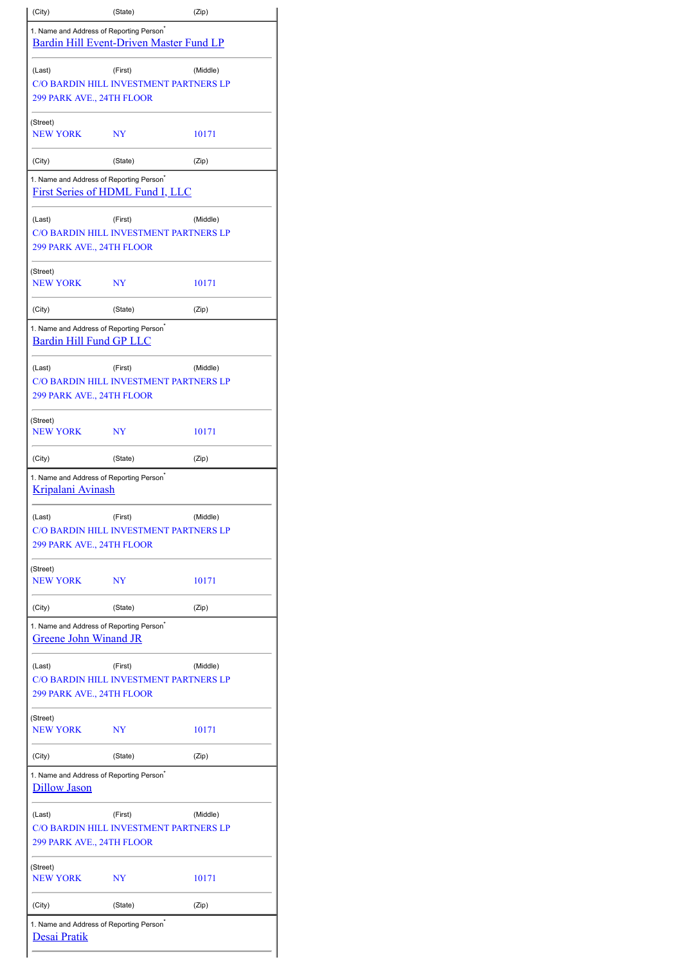| (City)                                                                                 | (State)                                 | (Zip)    |  |  |
|----------------------------------------------------------------------------------------|-----------------------------------------|----------|--|--|
| 1. Name and Address of Reporting Person <sup>®</sup>                                   | Bardin Hill Event-Driven Master Fund LP |          |  |  |
| (Last)                                                                                 | (First)                                 | (Middle) |  |  |
|                                                                                        | C/O BARDIN HILL INVESTMENT PARTNERS LP  |          |  |  |
| 299 PARK AVE., 24TH FLOOR                                                              |                                         |          |  |  |
| (Street)<br><b>NEW YORK</b>                                                            | NY                                      | 10171    |  |  |
|                                                                                        |                                         |          |  |  |
| (City)                                                                                 | (State)                                 | (Zip)    |  |  |
| 1. Name and Address of Reporting Person <sup>*</sup>                                   | <b>First Series of HDML Fund I, LLC</b> |          |  |  |
| (Last)                                                                                 | (First)                                 | (Middle) |  |  |
| 299 PARK AVE., 24TH FLOOR                                                              | C/O BARDIN HILL INVESTMENT PARTNERS LP  |          |  |  |
| (Street)<br><b>NEW YORK</b>                                                            | NY                                      | 10171    |  |  |
|                                                                                        |                                         |          |  |  |
| (City)                                                                                 | (State)                                 | (Zip)    |  |  |
| 1. Name and Address of Reporting Person <sup>®</sup><br><b>Bardin Hill Fund GP LLC</b> |                                         |          |  |  |
| (Last)                                                                                 | (First)                                 | (Middle) |  |  |
|                                                                                        | C/O BARDIN HILL INVESTMENT PARTNERS LP  |          |  |  |
| 299 PARK AVE., 24TH FLOOR                                                              |                                         |          |  |  |
| (Street)<br><b>NEW YORK</b>                                                            | NY                                      | 10171    |  |  |
| (City)                                                                                 | (State)                                 | (Zip)    |  |  |
| 1. Name and Address of Reporting Person <sup>®</sup><br><b>Kripalani Avinash</b>       |                                         |          |  |  |
| (Last)                                                                                 | (First)                                 | (Middle) |  |  |
| 299 PARK AVE., 24TH FLOOR                                                              | C/O BARDIN HILL INVESTMENT PARTNERS LP  |          |  |  |
|                                                                                        |                                         |          |  |  |
| (Street)<br><b>NEW YORK</b>                                                            | NY                                      | 10171    |  |  |
| (City)                                                                                 | (State)                                 | (Zip)    |  |  |
| 1. Name and Address of Reporting Person <sup>®</sup><br><b>Greene John Winand JR</b>   |                                         |          |  |  |
| (Last)                                                                                 | (First)                                 | (Middle) |  |  |
|                                                                                        | C/O BARDIN HILL INVESTMENT PARTNERS LP  |          |  |  |
| 299 PARK AVE., 24TH FLOOR                                                              |                                         |          |  |  |
| (Street)<br><b>NEW YORK</b>                                                            | NY                                      | 10171    |  |  |
| (City)                                                                                 | (State)                                 | (Zip)    |  |  |
| 1. Name and Address of Reporting Person <sup>®</sup>                                   |                                         |          |  |  |
| <b>Dillow Jason</b>                                                                    |                                         |          |  |  |
| (Last)                                                                                 | (First)                                 | (Middle) |  |  |
|                                                                                        | C/O BARDIN HILL INVESTMENT PARTNERS LP  |          |  |  |
| 299 PARK AVE., 24TH FLOOR                                                              |                                         |          |  |  |
| (Street)<br><b>NEW YORK</b>                                                            | NY                                      | 10171    |  |  |
| (City)                                                                                 | (State)                                 | (Zip)    |  |  |
| 1. Name and Address of Reporting Person <sup>*</sup>                                   |                                         |          |  |  |
| <b>Desai Pratik</b>                                                                    |                                         |          |  |  |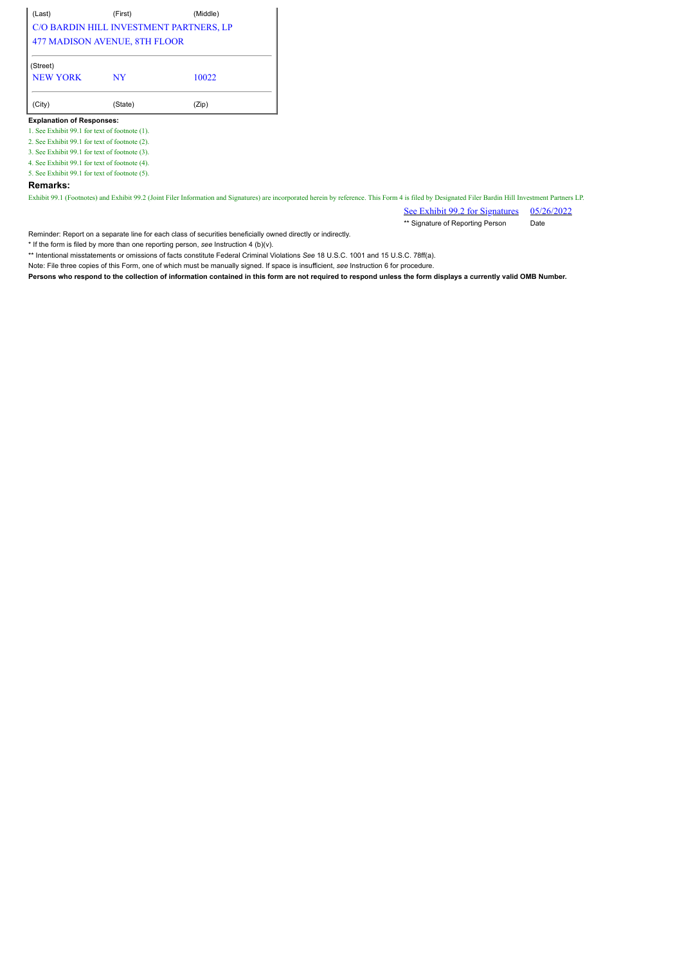(Last) (First) (Middle) C/O BARDIN HILL INVESTMENT PARTNERS, LP 477 MADISON AVENUE, 8TH FLOOR (Street)

| NEW YORK | NY      | 10022 |  |
|----------|---------|-------|--|
| (City)   | (State) | (Zip) |  |

**Explanation of Responses:**

1. See Exhibit 99.1 for text of footnote (1).

2. See Exhibit 99.1 for text of footnote (2).

3. See Exhibit 99.1 for text of footnote (3).

4. See Exhibit 99.1 for text of footnote (4).

5. See Exhibit 99.1 for text of footnote (5).

#### **Remarks:**

Exhibit 99.1 (Footnotes) and Exhibit 99.2 (Joint Filer Information and Signatures) are incorporated herein by reference. This Form 4 is filed by Designated Filer Bardin Hill Investment Partners LP.

See Exhibit 99.2 for Signatures 05/26/2022 \*\* Signature of Reporting Person Date

Reminder: Report on a separate line for each class of securities beneficially owned directly or indirectly.

\* If the form is filed by more than one reporting person, *see* Instruction 4 (b)(v).

\*\* Intentional misstatements or omissions of facts constitute Federal Criminal Violations *See* 18 U.S.C. 1001 and 15 U.S.C. 78ff(a).

Note: File three copies of this Form, one of which must be manually signed. If space is insufficient, *see* Instruction 6 for procedure.

**Persons who respond to the collection of information contained in this form are not required to respond unless the form displays a currently valid OMB Number.**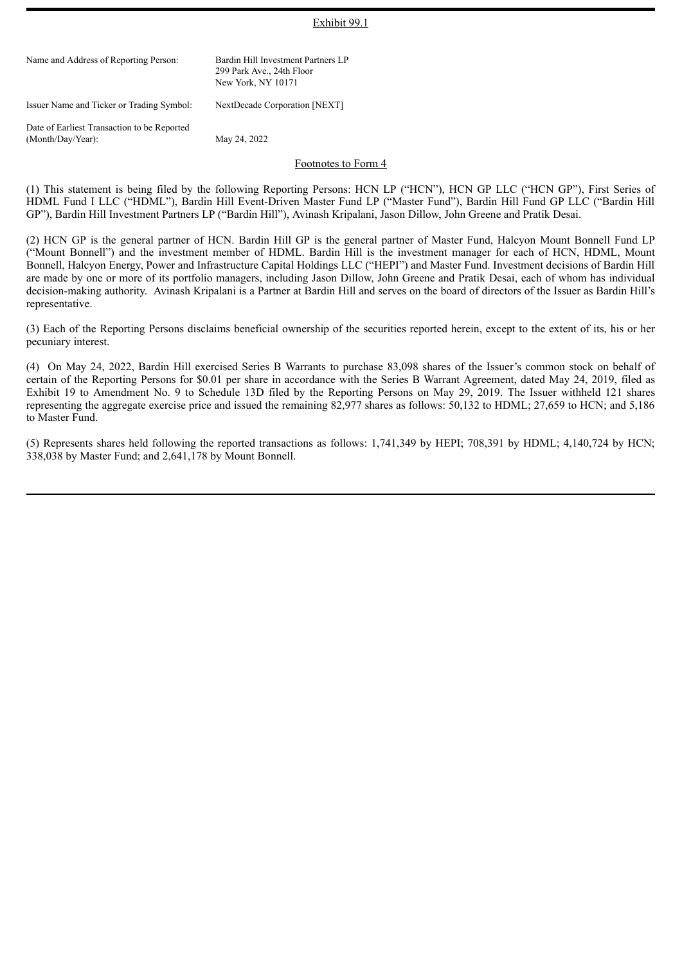#### Exhibit 99.1

| Name and Address of Reporting Person:                            | Bardin Hill Investment Partners LP<br>299 Park Ave., 24th Floor<br>New York, NY 10171 |
|------------------------------------------------------------------|---------------------------------------------------------------------------------------|
| Issuer Name and Ticker or Trading Symbol:                        | NextDecade Corporation [NEXT]                                                         |
| Date of Earliest Transaction to be Reported<br>(Month/Day/Year): | May 24, 2022                                                                          |
|                                                                  | Footnotes to Form 4                                                                   |

(1) This statement is being filed by the following Reporting Persons: HCN LP ("HCN"), HCN GP LLC ("HCN GP"), First Series of HDML Fund I LLC ("HDML"), Bardin Hill Event-Driven Master Fund LP ("Master Fund"), Bardin Hill Fund GP LLC ("Bardin Hill GP"), Bardin Hill Investment Partners LP ("Bardin Hill"), Avinash Kripalani, Jason Dillow, John Greene and Pratik Desai.

(2) HCN GP is the general partner of HCN. Bardin Hill GP is the general partner of Master Fund, Halcyon Mount Bonnell Fund LP ("Mount Bonnell") and the investment member of HDML. Bardin Hill is the investment manager for each of HCN, HDML, Mount Bonnell, Halcyon Energy, Power and Infrastructure Capital Holdings LLC ("HEPI") and Master Fund. Investment decisions of Bardin Hill are made by one or more of its portfolio managers, including Jason Dillow, John Greene and Pratik Desai, each of whom has individual decision-making authority. Avinash Kripalani is a Partner at Bardin Hill and serves on the board of directors of the Issuer as Bardin Hill's representative.

(3) Each of the Reporting Persons disclaims beneficial ownership of the securities reported herein, except to the extent of its, his or her pecuniary interest.

(4) On May 24, 2022, Bardin Hill exercised Series B Warrants to purchase 83,098 shares of the Issuer's common stock on behalf of certain of the Reporting Persons for \$0.01 per share in accordance with the Series B Warrant Agreement, dated May 24, 2019, filed as Exhibit 19 to Amendment No. 9 to Schedule 13D filed by the Reporting Persons on May 29, 2019. The Issuer withheld 121 shares representing the aggregate exercise price and issued the remaining 82,977 shares as follows: 50,132 to HDML; 27,659 to HCN; and 5,186 to Master Fund.

(5) Represents shares held following the reported transactions as follows: 1,741,349 by HEPI; 708,391 by HDML; 4,140,724 by HCN; 338,038 by Master Fund; and 2,641,178 by Mount Bonnell.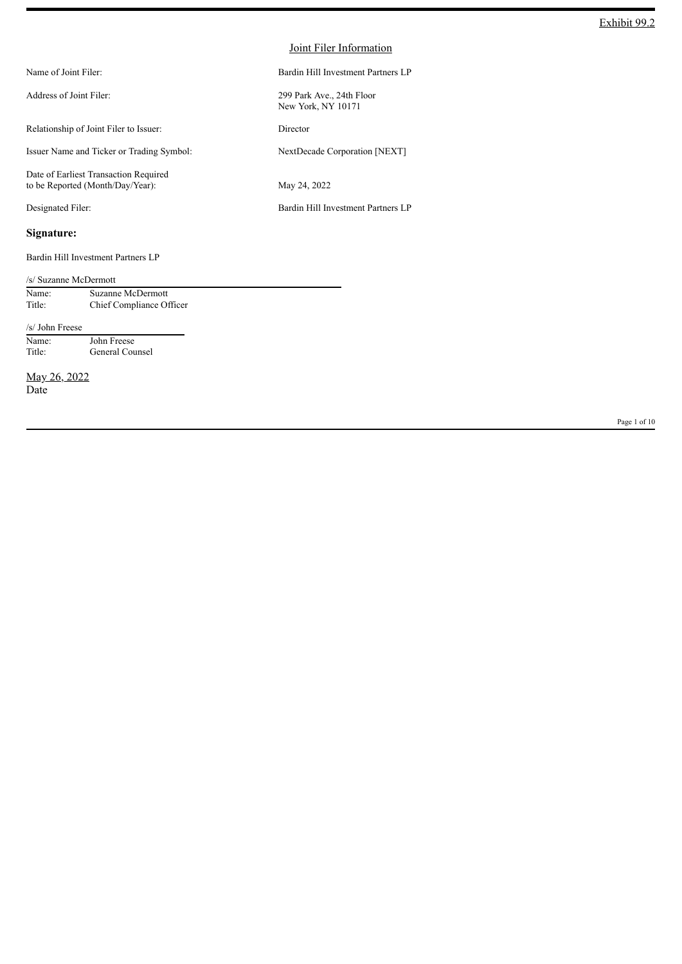| Name of Joint Filer:                                                      | Bardin Hill Investment Partners LP              |
|---------------------------------------------------------------------------|-------------------------------------------------|
| Address of Joint Filer:                                                   | 299 Park Ave., 24th Floor<br>New York, NY 10171 |
| Relationship of Joint Filer to Issuer:                                    | Director                                        |
| Issuer Name and Ticker or Trading Symbol:                                 | NextDecade Corporation [NEXT]                   |
| Date of Earliest Transaction Required<br>to be Reported (Month/Day/Year): | May 24, 2022                                    |
| Designated Filer:                                                         | Bardin Hill Investment Partners LP              |
|                                                                           |                                                 |

# **Signature:**

Bardin Hill Investment Partners LP

|                      | /s/ Suzanne McDermott    |  |  |  |
|----------------------|--------------------------|--|--|--|
| Name:                | Suzanne McDermott        |  |  |  |
| Title:               | Chief Compliance Officer |  |  |  |
| /s/ John Freese      |                          |  |  |  |
| Name:                | John Freese              |  |  |  |
| Title:               | General Counsel          |  |  |  |
| May 26, 2022<br>Date |                          |  |  |  |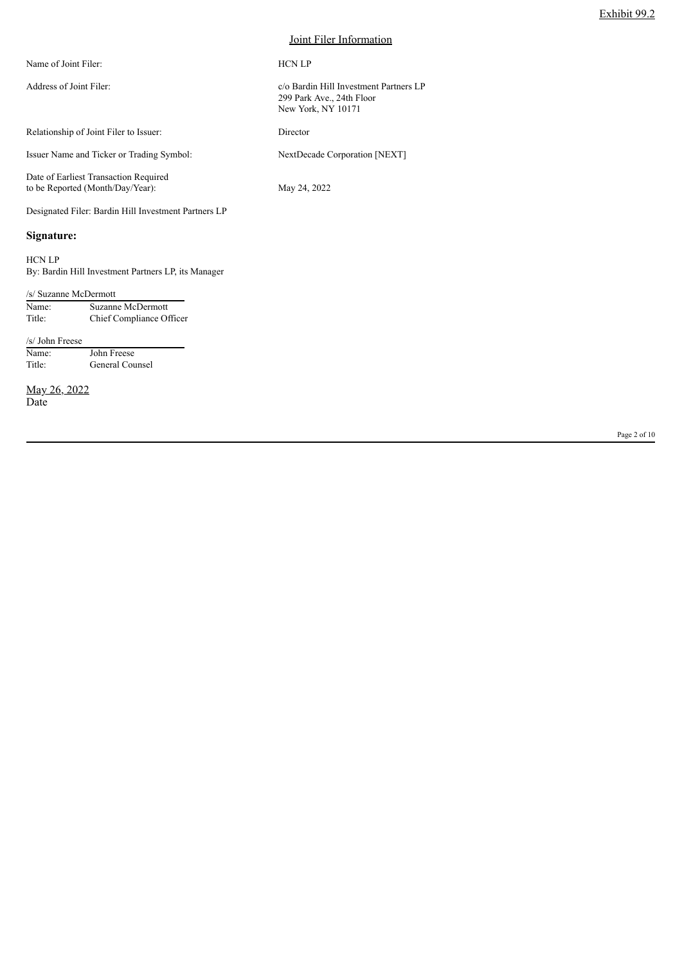| Name of Joint Filer:                                                      | <b>HCN LP</b>                                                                             |
|---------------------------------------------------------------------------|-------------------------------------------------------------------------------------------|
| Address of Joint Filer:                                                   | c/o Bardin Hill Investment Partners LP<br>299 Park Ave., 24th Floor<br>New York, NY 10171 |
| Relationship of Joint Filer to Issuer:                                    | Director                                                                                  |
| Issuer Name and Ticker or Trading Symbol:                                 | NextDecade Corporation [NEXT]                                                             |
| Date of Earliest Transaction Required<br>to be Reported (Month/Day/Year): | May 24, 2022                                                                              |
| Designated Filer: Bardin Hill Investment Partners LP                      |                                                                                           |

#### **Signature:**

HCN LP

By: Bardin Hill Investment Partners LP, its Manager

#### /s/ Suzanne McDermott Name: Suzanne McDermott<br>Title: Chief Compliance Of Chief Compliance Officer

/s/ John Freese Name: John Freese Title: General Counsel

May 26, 2022 Date

Page 2 of 10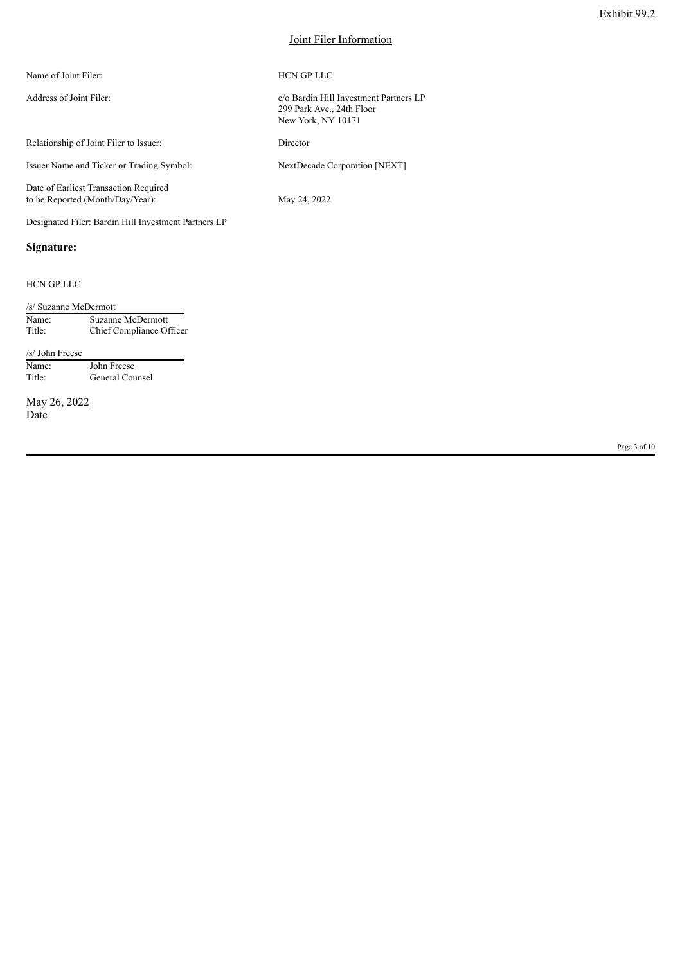| Name of Joint Filer:                                                      | <b>HCN GP LLC</b>                                                                         |
|---------------------------------------------------------------------------|-------------------------------------------------------------------------------------------|
| Address of Joint Filer:                                                   | c/o Bardin Hill Investment Partners LP<br>299 Park Ave., 24th Floor<br>New York, NY 10171 |
| Relationship of Joint Filer to Issuer:                                    | Director                                                                                  |
| Issuer Name and Ticker or Trading Symbol:                                 | NextDecade Corporation [NEXT]                                                             |
| Date of Earliest Transaction Required<br>to be Reported (Month/Day/Year): | May 24, 2022                                                                              |

Designated Filer: Bardin Hill Investment Partners LP

# **Signature:**

#### HCN GP LLC

| /s/ Suzanne McDermott |                          |  |  |  |
|-----------------------|--------------------------|--|--|--|
| Name:                 | Suzanne McDermott        |  |  |  |
| Title:                | Chief Compliance Officer |  |  |  |

/s/ John Freese Name: John Freese Title: General Counsel

May 26, 2022 Date

Page 3 of 10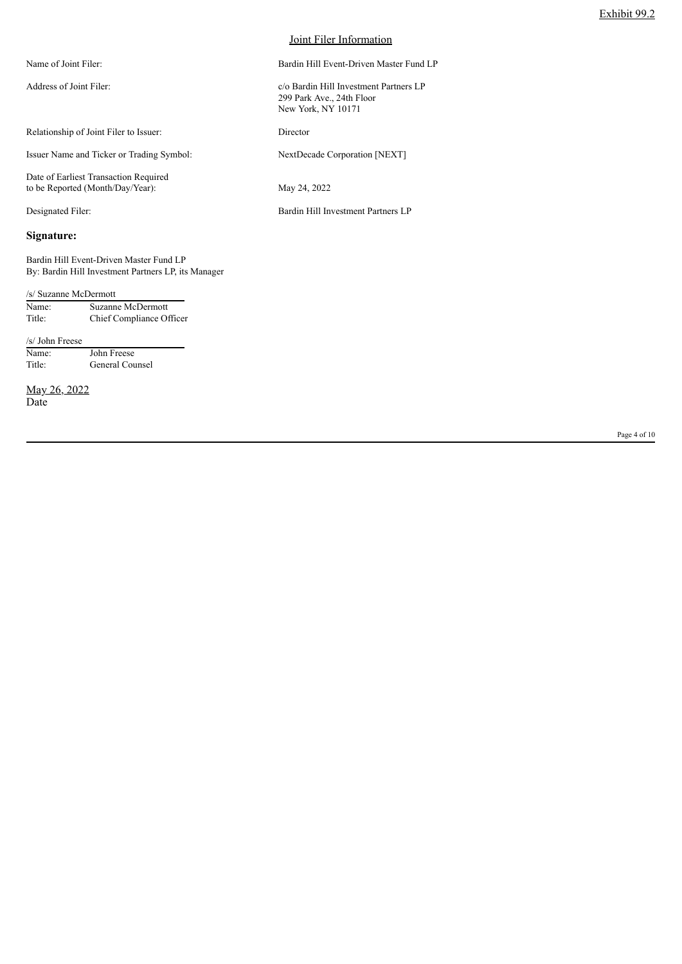| Name of Joint Filer:                                                      | Bardin Hill Event-Driven Master Fund LP                                                   |
|---------------------------------------------------------------------------|-------------------------------------------------------------------------------------------|
| Address of Joint Filer:                                                   | c/o Bardin Hill Investment Partners LP<br>299 Park Ave., 24th Floor<br>New York, NY 10171 |
| Relationship of Joint Filer to Issuer:                                    | Director                                                                                  |
| Issuer Name and Ticker or Trading Symbol:                                 | NextDecade Corporation [NEXT]                                                             |
| Date of Earliest Transaction Required<br>to be Reported (Month/Day/Year): | May 24, 2022                                                                              |
| Designated Filer:                                                         | Bardin Hill Investment Partners LP                                                        |
| Signature:                                                                |                                                                                           |

Bardin Hill Event-Driven Master Fund LP By: Bardin Hill Investment Partners LP, its Manager

| /s/ Suzanne McDermott |                          |  |  |
|-----------------------|--------------------------|--|--|
| Name:                 | Suzanne McDermott        |  |  |
| Title:                | Chief Compliance Officer |  |  |

/s/ John Freese Name: John Freese Title: General Counsel

May 26, 2022 Date

Page 4 of 10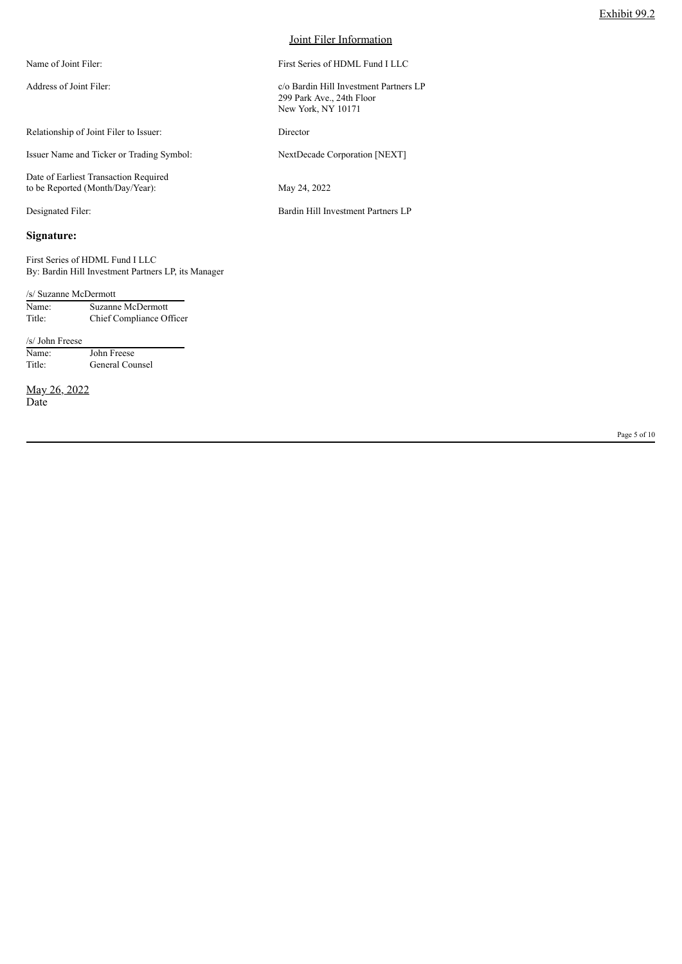| Name of Joint Filer:                                                      | First Series of HDML Fund I LLC                                                           |
|---------------------------------------------------------------------------|-------------------------------------------------------------------------------------------|
| Address of Joint Filer:                                                   | c/o Bardin Hill Investment Partners LP<br>299 Park Ave., 24th Floor<br>New York, NY 10171 |
| Relationship of Joint Filer to Issuer:                                    | Director                                                                                  |
| Issuer Name and Ticker or Trading Symbol:                                 | NextDecade Corporation [NEXT]                                                             |
| Date of Earliest Transaction Required<br>to be Reported (Month/Day/Year): | May 24, 2022                                                                              |
| Designated Filer:                                                         | Bardin Hill Investment Partners LP                                                        |
| Signature:                                                                |                                                                                           |

/s/ Suzanne McDermott

By: Bardin Hill Investment Partners LP, its Manager

| Name:  | Suzanne McDermott        |
|--------|--------------------------|
| Title: | Chief Compliance Officer |

/s/ John Freese Name: John Freese Title: General Counsel

First Series of HDML Fund I LLC

May 26, 2022 Date

Page 5 of 10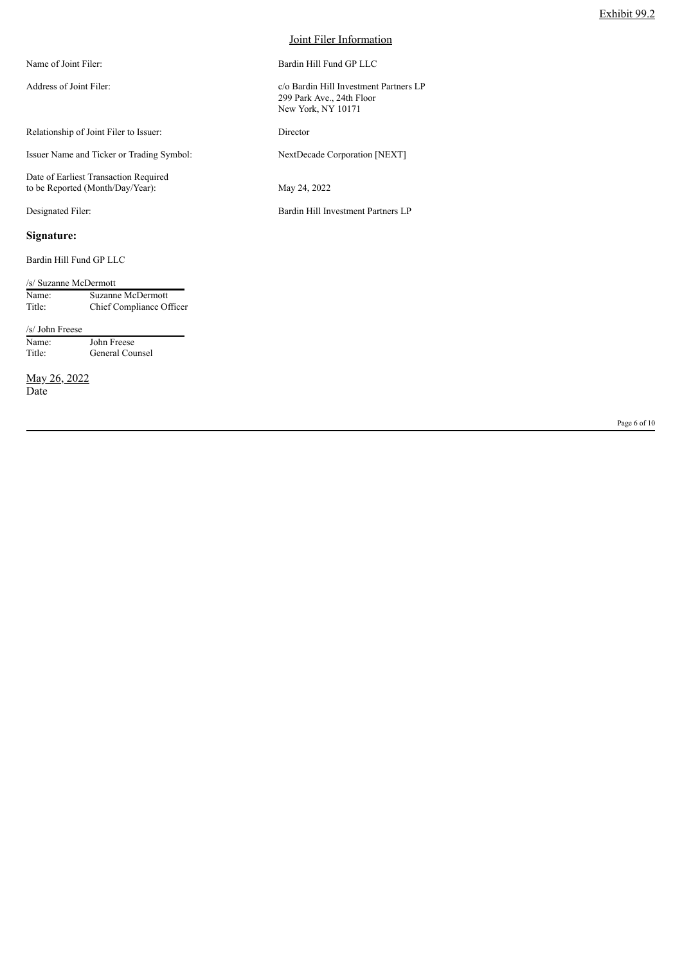| Name of Joint Filer:                                                      | Bardin Hill Fund GP LLC                                                                   |
|---------------------------------------------------------------------------|-------------------------------------------------------------------------------------------|
| Address of Joint Filer:                                                   | c/o Bardin Hill Investment Partners LP<br>299 Park Ave., 24th Floor<br>New York, NY 10171 |
| Relationship of Joint Filer to Issuer:                                    | Director                                                                                  |
| Issuer Name and Ticker or Trading Symbol:                                 | NextDecade Corporation [NEXT]                                                             |
| Date of Earliest Transaction Required<br>to be Reported (Month/Day/Year): | May 24, 2022                                                                              |
| Designated Filer:                                                         | Bardin Hill Investment Partners LP                                                        |
| Signature:                                                                |                                                                                           |

Bardin Hill Fund GP LLC

| /s/ Suzanne McDermott |                          |
|-----------------------|--------------------------|
| Name:                 | Suzanne McDermott        |
| Title:                | Chief Compliance Officer |

/s/ John Freese<br>Name:<br>Title: John Freese General Counsel

May 26, 2022 Date

Page 6 of 10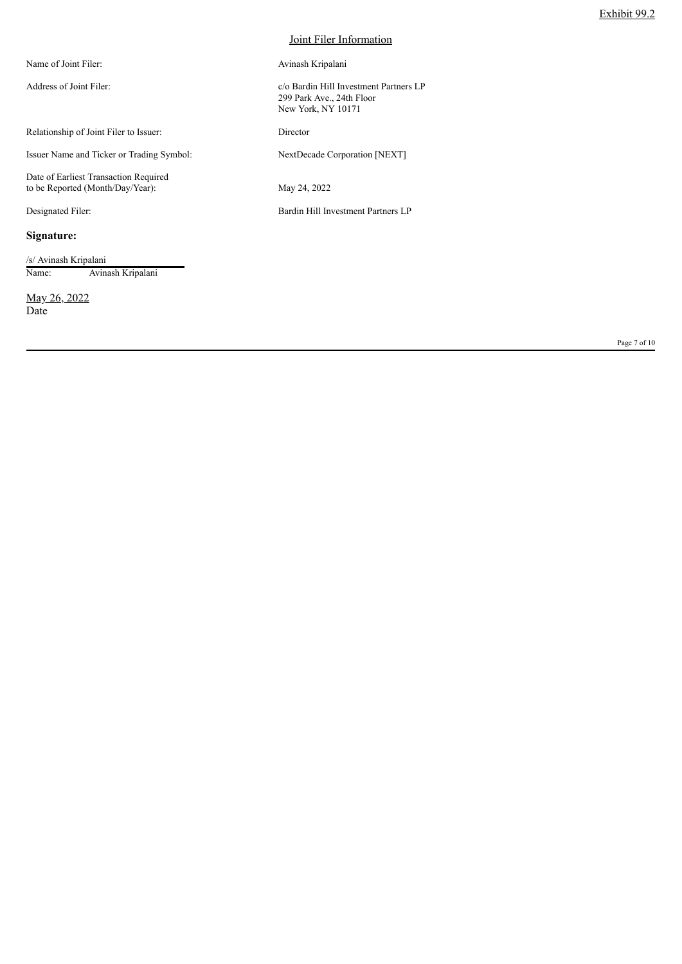| Name of Joint Filer:                                                      | Avinash Kripalani                                                                         |
|---------------------------------------------------------------------------|-------------------------------------------------------------------------------------------|
| Address of Joint Filer:                                                   | c/o Bardin Hill Investment Partners LP<br>299 Park Ave., 24th Floor<br>New York, NY 10171 |
| Relationship of Joint Filer to Issuer:                                    | Director                                                                                  |
| Issuer Name and Ticker or Trading Symbol:                                 | NextDecade Corporation [NEXT]                                                             |
| Date of Earliest Transaction Required<br>to be Reported (Month/Day/Year): | May 24, 2022                                                                              |
| Designated Filer:                                                         | Bardin Hill Investment Partners LP                                                        |

# **Signature:**

/s/ Avinash Kripalani Name: Avinash Kripalani

May 26, 2022 Date

Page 7 of 10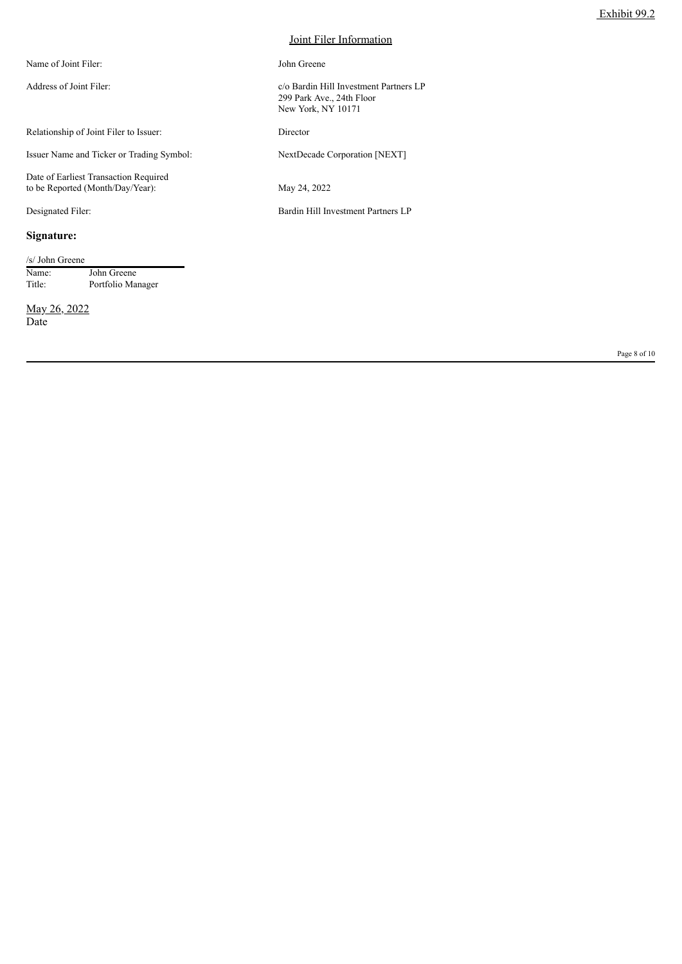| Name of Joint Filer:                                                      | John Greene                                                                               |
|---------------------------------------------------------------------------|-------------------------------------------------------------------------------------------|
| Address of Joint Filer:                                                   | c/o Bardin Hill Investment Partners LP<br>299 Park Ave., 24th Floor<br>New York, NY 10171 |
| Relationship of Joint Filer to Issuer:                                    | Director                                                                                  |
| Issuer Name and Ticker or Trading Symbol:                                 | NextDecade Corporation [NEXT]                                                             |
| Date of Earliest Transaction Required<br>to be Reported (Month/Day/Year): | May 24, 2022                                                                              |
| Designated Filer:                                                         | Bardin Hill Investment Partners LP                                                        |
|                                                                           |                                                                                           |

# **Signature:**

| /s/ John Greene |                   |
|-----------------|-------------------|
| Name:           | John Greene       |
| Title:          | Portfolio Manager |

May 26, 2022 Date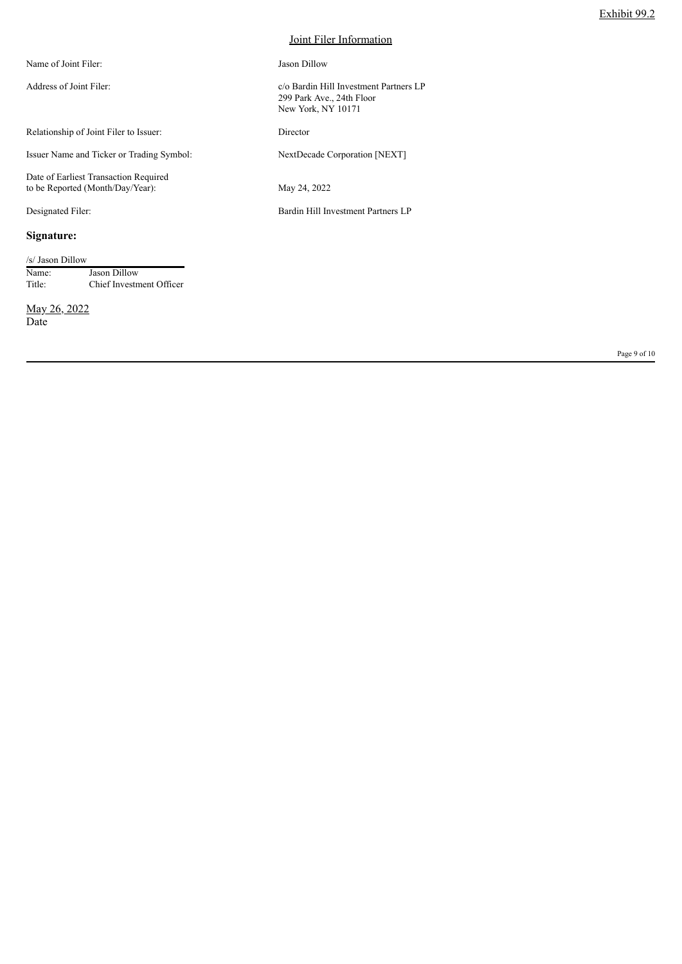| Name of Joint Filer:                                                      | Jason Dillow                                                                              |
|---------------------------------------------------------------------------|-------------------------------------------------------------------------------------------|
| Address of Joint Filer:                                                   | c/o Bardin Hill Investment Partners LP<br>299 Park Ave., 24th Floor<br>New York, NY 10171 |
| Relationship of Joint Filer to Issuer:                                    | Director                                                                                  |
| Issuer Name and Ticker or Trading Symbol:                                 | NextDecade Corporation [NEXT]                                                             |
| Date of Earliest Transaction Required<br>to be Reported (Month/Day/Year): | May 24, 2022                                                                              |
| Designated Filer:                                                         | Bardin Hill Investment Partners LP                                                        |
|                                                                           |                                                                                           |

# **Signature:**

| /s/ Jason Dillow |                          |
|------------------|--------------------------|
| Name:            | Jason Dillow             |
| Title:           | Chief Investment Officer |

May 26, 2022 Date